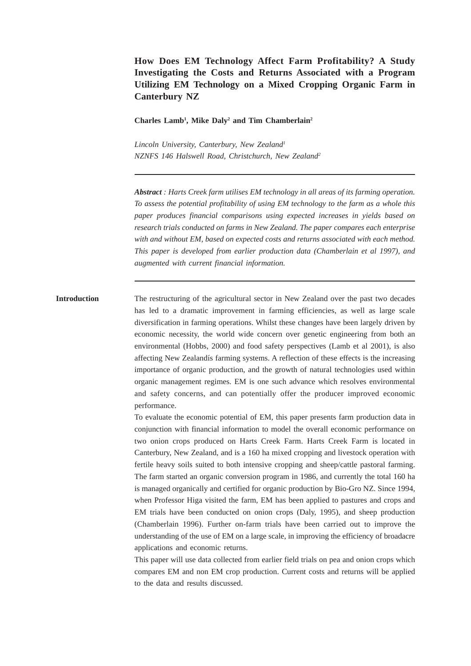# **How Does EM Technology Affect Farm Profitability? A Study Investigating the Costs and Returns Associated with a Program Utilizing EM Technology on a Mixed Cropping Organic Farm in Canterbury NZ**

**Charles Lamb1 , Mike Daly2 and Tim Chamberlain2**

*Lincoln University, Canterbury, New Zealand1 NZNFS 146 Halswell Road, Christchurch, New Zealand2*

*Abstract : Harts Creek farm utilises EM technology in all areas of its farming operation. To assess the potential profitability of using EM technology to the farm as a whole this paper produces financial comparisons using expected increases in yields based on research trials conducted on farms in New Zealand. The paper compares each enterprise with and without EM, based on expected costs and returns associated with each method. This paper is developed from earlier production data (Chamberlain et al 1997), and augmented with current financial information.*

**Introduction** The restructuring of the agricultural sector in New Zealand over the past two decades has led to a dramatic improvement in farming efficiencies, as well as large scale diversification in farming operations. Whilst these changes have been largely driven by economic necessity, the world wide concern over genetic engineering from both an environmental (Hobbs, 2000) and food safety perspectives (Lamb et al 2001), is also affecting New Zealandís farming systems. A reflection of these effects is the increasing importance of organic production, and the growth of natural technologies used within organic management regimes. EM is one such advance which resolves environmental and safety concerns, and can potentially offer the producer improved economic performance.

> To evaluate the economic potential of EM, this paper presents farm production data in conjunction with financial information to model the overall economic performance on two onion crops produced on Harts Creek Farm. Harts Creek Farm is located in Canterbury, New Zealand, and is a 160 ha mixed cropping and livestock operation with fertile heavy soils suited to both intensive cropping and sheep/cattle pastoral farming. The farm started an organic conversion program in 1986, and currently the total 160 ha is managed organically and certified for organic production by Bio-Gro NZ. Since 1994, when Professor Higa visited the farm, EM has been applied to pastures and crops and EM trials have been conducted on onion crops (Daly, 1995), and sheep production (Chamberlain 1996). Further on-farm trials have been carried out to improve the understanding of the use of EM on a large scale, in improving the efficiency of broadacre applications and economic returns.

> This paper will use data collected from earlier field trials on pea and onion crops which compares EM and non EM crop production. Current costs and returns will be applied to the data and results discussed.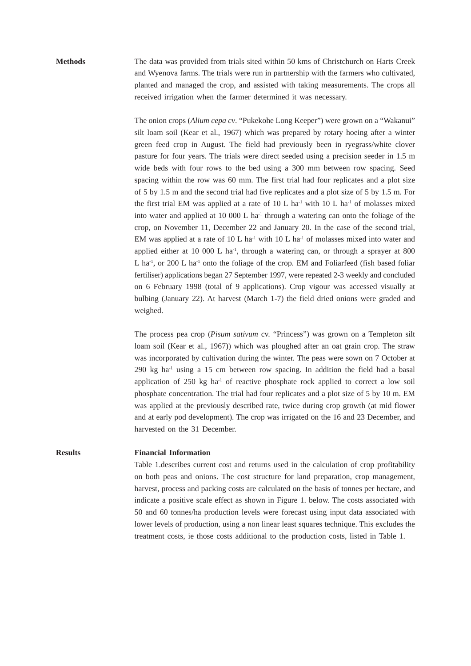**Methods** The data was provided from trials sited within 50 kms of Christchurch on Harts Creek and Wyenova farms. The trials were run in partnership with the farmers who cultivated, planted and managed the crop, and assisted with taking measurements. The crops all received irrigation when the farmer determined it was necessary.

> The onion crops (*Alium cepa cv*. "Pukekohe Long Keeper") were grown on a "Wakanui" silt loam soil (Kear et al., 1967) which was prepared by rotary hoeing after a winter green feed crop in August. The field had previously been in ryegrass/white clover pasture for four years. The trials were direct seeded using a precision seeder in 1.5 m wide beds with four rows to the bed using a 300 mm between row spacing. Seed spacing within the row was 60 mm. The first trial had four replicates and a plot size of 5 by 1.5 m and the second trial had five replicates and a plot size of 5 by 1.5 m. For the first trial EM was applied at a rate of  $10$  L ha<sup>-1</sup> with  $10$  L ha<sup>-1</sup> of molasses mixed into water and applied at 10 000 L ha<sup>-1</sup> through a watering can onto the foliage of the crop, on November 11, December 22 and January 20. In the case of the second trial, EM was applied at a rate of 10 L ha<sup>-1</sup> with 10 L ha<sup>-1</sup> of molasses mixed into water and applied either at 10 000 L ha<sup>-1</sup>, through a watering can, or through a sprayer at 800 L ha<sup>-1</sup>, or 200 L ha<sup>-1</sup> onto the foliage of the crop. EM and Foliarfeed (fish based foliar fertiliser) applications began 27 September 1997, were repeated 2-3 weekly and concluded on 6 February 1998 (total of 9 applications). Crop vigour was accessed visually at bulbing (January 22). At harvest (March 1-7) the field dried onions were graded and weighed.

> The process pea crop (*Pisum sativum* cv. "Princess") was grown on a Templeton silt loam soil (Kear et al., 1967)) which was ploughed after an oat grain crop. The straw was incorporated by cultivation during the winter. The peas were sown on 7 October at  $290 \text{ kg}$  ha<sup>-1</sup> using a 15 cm between row spacing. In addition the field had a basal application of  $250 \text{ kg}$  ha<sup>-1</sup> of reactive phosphate rock applied to correct a low soil phosphate concentration. The trial had four replicates and a plot size of 5 by 10 m. EM was applied at the previously described rate, twice during crop growth (at mid flower and at early pod development). The crop was irrigated on the 16 and 23 December, and harvested on the 31 December.

### **Results Financial Information**

Table 1.describes current cost and returns used in the calculation of crop profitability on both peas and onions. The cost structure for land preparation, crop management, harvest, process and packing costs are calculated on the basis of tonnes per hectare, and indicate a positive scale effect as shown in Figure 1. below. The costs associated with 50 and 60 tonnes/ha production levels were forecast using input data associated with lower levels of production, using a non linear least squares technique. This excludes the treatment costs, ie those costs additional to the production costs, listed in Table 1.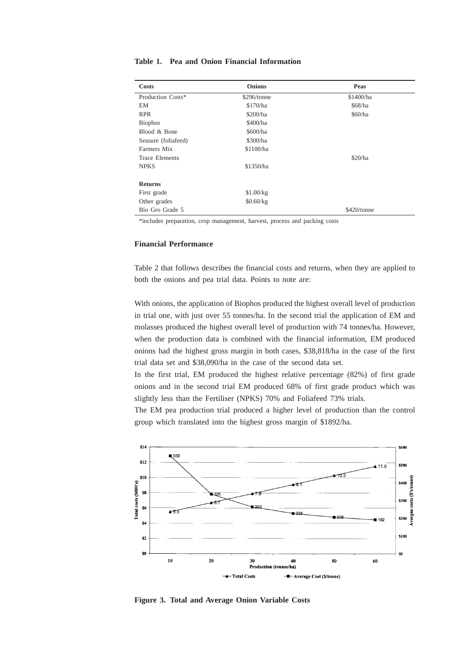| <b>Costs</b>          | <b>Onions</b> | Peas        |  |
|-----------------------|---------------|-------------|--|
| Production Costs*     | \$296/tonne   | \$1400/ha   |  |
| EM                    | \$170/ha      | \$68/ha     |  |
| <b>RPR</b>            | \$200/ha      | \$60/ha     |  |
| <b>Biophos</b>        | \$400/ha      |             |  |
| Blood & Bone          | \$600/ha      |             |  |
| Seasure (foliafeed)   | \$300/ha      |             |  |
| Farmers Mix           | \$1100/ha     |             |  |
| <b>Trace Elements</b> |               | \$20/ha     |  |
| <b>NPKS</b>           | \$1350/ha     |             |  |
| <b>Returns</b>        |               |             |  |
| First grade           | \$1.00/kg     |             |  |
| Other grades          | \$0.60/kg     |             |  |
| Bio Gro Grade 5       |               | \$420/tonne |  |

**Table 1. Pea and Onion Financial Information**

\*includes preparation, crop management, harvest, process and packing costs

## **Financial Performance**

Table 2 that follows describes the financial costs and returns, when they are applied to both the onions and pea trial data. Points to note are:

With onions, the application of Biophos produced the highest overall level of production in trial one, with just over 55 tonnes/ha. In the second trial the application of EM and molasses produced the highest overall level of production with 74 tonnes/ha. However, when the production data is combined with the financial information, EM produced onions had the highest gross margin in both cases, \$38,818/ha in the case of the first trial data set and \$38,090/ha in the case of the second data set.

In the first trial, EM produced the highest relative percentage (82%) of first grade onions and in the second trial EM produced 68% of first grade product which was slightly less than the Fertiliser (NPKS) 70% and Foliafeed 73% trials.

The EM pea production trial produced a higher level of production than the control group which translated into the highest gross margin of \$1892/ha.



**Figure 3. Total and Average Onion Variable Costs**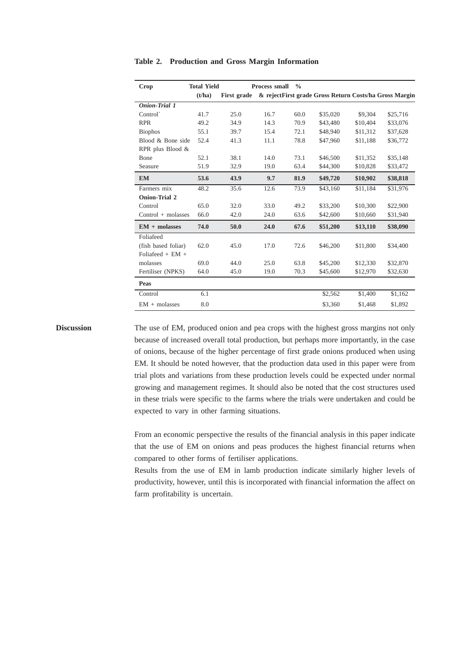| <b>Crop</b>          | <b>Total Yield</b> |             | Process small | $\frac{0}{0}$ |                                                        |          |          |
|----------------------|--------------------|-------------|---------------|---------------|--------------------------------------------------------|----------|----------|
|                      | (t/ha)             | First grade |               |               | & rejectFirst grade Gross Return Costs/ha Gross Margin |          |          |
| <b>Onion-Trial 1</b> |                    |             |               |               |                                                        |          |          |
| Control              | 41.7               | 25.0        | 16.7          | 60.0          | \$35,020                                               | \$9,304  | \$25,716 |
| <b>RPR</b>           | 49.2               | 34.9        | 14.3          | 70.9          | \$43,480                                               | \$10,404 | \$33,076 |
| <b>Biophos</b>       | 55.1               | 39.7        | 15.4          | 72.1          | \$48,940                                               | \$11,312 | \$37,628 |
| Blood & Bone side    | 52.4               | 41.3        | 11.1          | 78.8          | \$47,960                                               | \$11,188 | \$36,772 |
| RPR plus Blood &     |                    |             |               |               |                                                        |          |          |
| <b>B</b> one         | 52.1               | 38.1        | 14.0          | 73.1          | \$46,500                                               | \$11,352 | \$35,148 |
| Seasure              | 51.9               | 32.9        | 19.0          | 63.4          | \$44,300                                               | \$10,828 | \$33,472 |
| <b>EM</b>            | 53.6               | 43.9        | 9.7           | 81.9          | \$49,720                                               | \$10,902 | \$38,818 |
| Farmers mix          | 48.2               | 35.6        | 12.6          | 73.9          | \$43,160                                               | \$11,184 | \$31,976 |
| <b>Onion-Trial 2</b> |                    |             |               |               |                                                        |          |          |
| Control              | 65.0               | 32.0        | 33.0          | 49.2          | \$33,200                                               | \$10,300 | \$22,900 |
| $Control + mol$      | 66.0               | 42.0        | 24.0          | 63.6          | \$42,600                                               | \$10,660 | \$31,940 |
| $EM + molasses$      | 74.0               | 50.0        | 24.0          | 67.6          | \$51,200                                               | \$13,110 | \$38,090 |
| Foliafeed            |                    |             |               |               |                                                        |          |          |
| (fish based foliar)  | 62.0               | 45.0        | 17.0          | 72.6          | \$46,200                                               | \$11,800 | \$34,400 |
| Foliafeed $+$ EM $+$ |                    |             |               |               |                                                        |          |          |
| molasses             | 69.0               | 44.0        | 25.0          | 63.8          | \$45,200                                               | \$12,330 | \$32,870 |
| Fertiliser (NPKS)    | 64.0               | 45.0        | 19.0          | 70.3          | \$45,600                                               | \$12,970 | \$32,630 |
| Peas                 |                    |             |               |               |                                                        |          |          |
| Control              | 6.1                |             |               |               | \$2,562                                                | \$1,400  | \$1,162  |
| $EM + molasses$      | 8.0                |             |               |               | \$3,360                                                | \$1,468  | \$1,892  |

**Table 2. Production and Gross Margin Information**

**Discussion** The use of EM, produced onion and pea crops with the highest gross margins not only because of increased overall total production, but perhaps more importantly, in the case of onions, because of the higher percentage of first grade onions produced when using EM. It should be noted however, that the production data used in this paper were from trial plots and variations from these production levels could be expected under normal growing and management regimes. It should also be noted that the cost structures used in these trials were specific to the farms where the trials were undertaken and could be expected to vary in other farming situations.

> From an economic perspective the results of the financial analysis in this paper indicate that the use of EM on onions and peas produces the highest financial returns when compared to other forms of fertiliser applications.

> Results from the use of EM in lamb production indicate similarly higher levels of productivity, however, until this is incorporated with financial information the affect on farm profitability is uncertain.